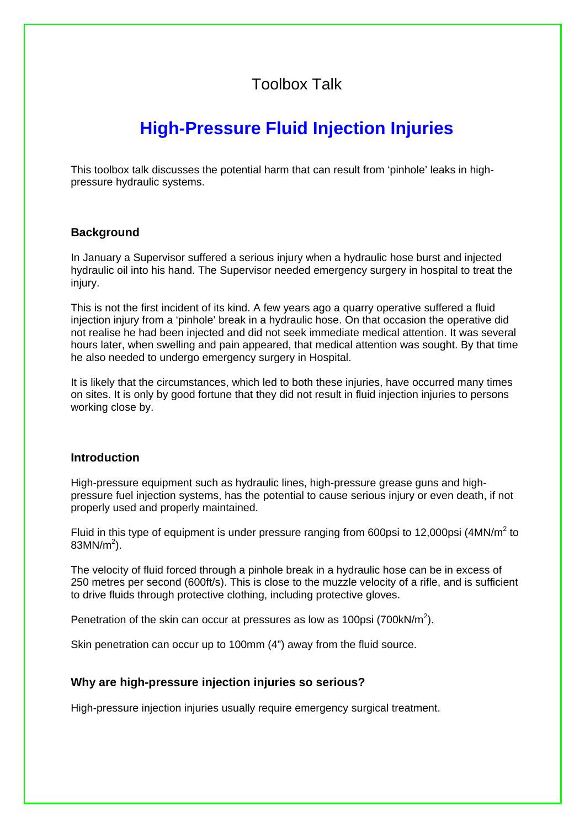## Toolbox Talk

# **High-Pressure Fluid Injection Injuries**

This toolbox talk discusses the potential harm that can result from 'pinhole' leaks in highpressure hydraulic systems.

#### **Background**

In January a Supervisor suffered a serious injury when a hydraulic hose burst and injected hydraulic oil into his hand. The Supervisor needed emergency surgery in hospital to treat the injury.

This is not the first incident of its kind. A few years ago a quarry operative suffered a fluid injection injury from a 'pinhole' break in a hydraulic hose. On that occasion the operative did not realise he had been injected and did not seek immediate medical attention. It was several hours later, when swelling and pain appeared, that medical attention was sought. By that time he also needed to undergo emergency surgery in Hospital.

It is likely that the circumstances, which led to both these injuries, have occurred many times on sites. It is only by good fortune that they did not result in fluid injection injuries to persons working close by.

#### **Introduction**

High-pressure equipment such as hydraulic lines, high-pressure grease guns and highpressure fuel injection systems, has the potential to cause serious injury or even death, if not properly used and properly maintained.

Fluid in this type of equipment is under pressure ranging from 600psi to 12,000psi (4MN/m<sup>2</sup> to 83MN/ $m^2$ ).

The velocity of fluid forced through a pinhole break in a hydraulic hose can be in excess of 250 metres per second (600ft/s). This is close to the muzzle velocity of a rifle, and is sufficient to drive fluids through protective clothing, including protective gloves.

Penetration of the skin can occur at pressures as low as 100psi (700kN/m<sup>2</sup>).

Skin penetration can occur up to 100mm (4") away from the fluid source.

#### **Why are high-pressure injection injuries so serious?**

High-pressure injection injuries usually require emergency surgical treatment.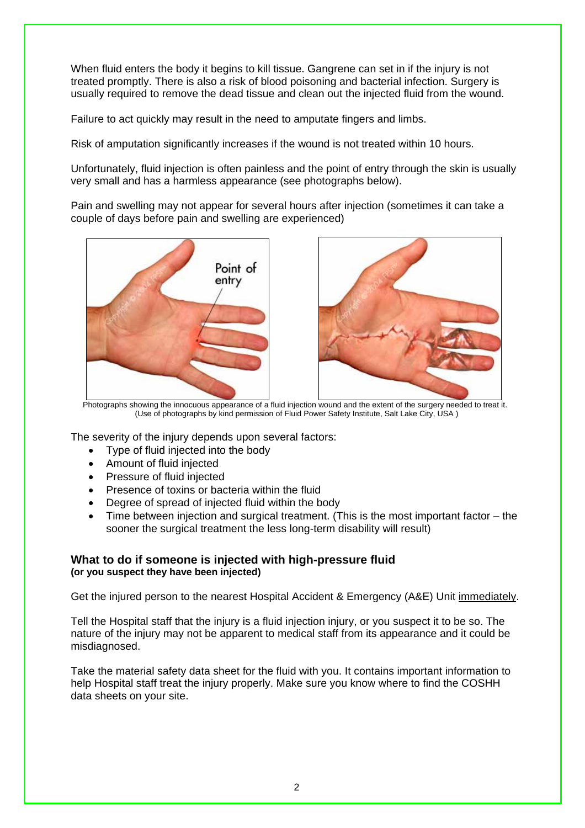When fluid enters the body it begins to kill tissue. Gangrene can set in if the injury is not treated promptly. There is also a risk of blood poisoning and bacterial infection. Surgery is usually required to remove the dead tissue and clean out the injected fluid from the wound.

Failure to act quickly may result in the need to amputate fingers and limbs.

Risk of amputation significantly increases if the wound is not treated within 10 hours.

Unfortunately, fluid injection is often painless and the point of entry through the skin is usually very small and has a harmless appearance (see photographs below).

Pain and swelling may not appear for several hours after injection (sometimes it can take a couple of days before pain and swelling are experienced)





Photographs showing the innocuous appearance of a fluid injection wound and the extent of the surgery needed to treat it. (Use of photographs by kind permission of Fluid Power Safety Institute, Salt Lake City, USA )

The severity of the injury depends upon several factors:

- Type of fluid injected into the body
- Amount of fluid injected
- Pressure of fluid injected
- Presence of toxins or bacteria within the fluid
- Degree of spread of injected fluid within the body
- Time between injection and surgical treatment. (This is the most important factor  $-$  the sooner the surgical treatment the less long-term disability will result)

#### **What to do if someone is injected with high-pressure fluid (or you suspect they have been injected)**

Get the injured person to the nearest Hospital Accident & Emergency (A&E) Unit immediately.

Tell the Hospital staff that the injury is a fluid injection injury, or you suspect it to be so. The nature of the injury may not be apparent to medical staff from its appearance and it could be misdiagnosed.

Take the material safety data sheet for the fluid with you. It contains important information to help Hospital staff treat the injury properly. Make sure you know where to find the COSHH data sheets on your site.